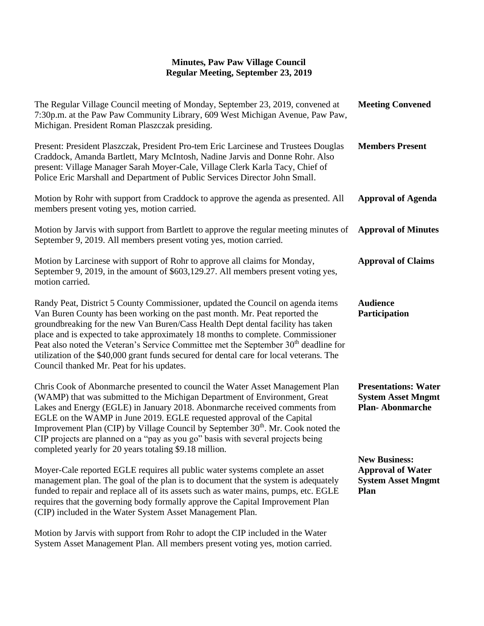| The Regular Village Council meeting of Monday, September 23, 2019, convened at<br>7:30p.m. at the Paw Paw Community Library, 609 West Michigan Avenue, Paw Paw,<br>Michigan. President Roman Plaszczak presiding.                                                                                                                                                                                                                                                                                                                                                    | <b>Meeting Convened</b>                                                               |
|----------------------------------------------------------------------------------------------------------------------------------------------------------------------------------------------------------------------------------------------------------------------------------------------------------------------------------------------------------------------------------------------------------------------------------------------------------------------------------------------------------------------------------------------------------------------|---------------------------------------------------------------------------------------|
| Present: President Plaszczak, President Pro-tem Eric Larcinese and Trustees Douglas<br>Craddock, Amanda Bartlett, Mary McIntosh, Nadine Jarvis and Donne Rohr. Also<br>present: Village Manager Sarah Moyer-Cale, Village Clerk Karla Tacy, Chief of<br>Police Eric Marshall and Department of Public Services Director John Small.                                                                                                                                                                                                                                  | <b>Members Present</b>                                                                |
| Motion by Rohr with support from Craddock to approve the agenda as presented. All<br>members present voting yes, motion carried.                                                                                                                                                                                                                                                                                                                                                                                                                                     | <b>Approval of Agenda</b>                                                             |
| Motion by Jarvis with support from Bartlett to approve the regular meeting minutes of<br>September 9, 2019. All members present voting yes, motion carried.                                                                                                                                                                                                                                                                                                                                                                                                          | <b>Approval of Minutes</b>                                                            |
| Motion by Larcinese with support of Rohr to approve all claims for Monday,<br>September 9, 2019, in the amount of \$603,129.27. All members present voting yes,<br>motion carried.                                                                                                                                                                                                                                                                                                                                                                                   | <b>Approval of Claims</b>                                                             |
| Randy Peat, District 5 County Commissioner, updated the Council on agenda items<br>Van Buren County has been working on the past month. Mr. Peat reported the<br>groundbreaking for the new Van Buren/Cass Health Dept dental facility has taken<br>place and is expected to take approximately 18 months to complete. Commissioner<br>Peat also noted the Veteran's Service Committee met the September $30th$ deadline for<br>utilization of the \$40,000 grant funds secured for dental care for local veterans. The<br>Council thanked Mr. Peat for his updates. | <b>Audience</b><br>Participation                                                      |
| Chris Cook of Abonmarche presented to council the Water Asset Management Plan<br>(WAMP) that was submitted to the Michigan Department of Environment, Great<br>Lakes and Energy (EGLE) in January 2018. Abonmarche received comments from<br>EGLE on the WAMP in June 2019. EGLE requested approval of the Capital<br>Improvement Plan (CIP) by Village Council by September 30 <sup>th</sup> . Mr. Cook noted the<br>CIP projects are planned on a "pay as you go" basis with several projects being<br>completed yearly for 20 years totaling \$9.18 million.      | <b>Presentations: Water</b><br><b>System Asset Mngmt</b><br><b>Plan-Abonmarche</b>    |
| Moyer-Cale reported EGLE requires all public water systems complete an asset<br>management plan. The goal of the plan is to document that the system is adequately<br>funded to repair and replace all of its assets such as water mains, pumps, etc. EGLE<br>requires that the governing body formally approve the Capital Improvement Plan<br>(CIP) included in the Water System Asset Management Plan.                                                                                                                                                            | <b>New Business:</b><br><b>Approval of Water</b><br><b>System Asset Mngmt</b><br>Plan |
| Motion by Jarvis with support from Rohr to adopt the CIP included in the Water                                                                                                                                                                                                                                                                                                                                                                                                                                                                                       |                                                                                       |

System Asset Management Plan. All members present voting yes, motion carried.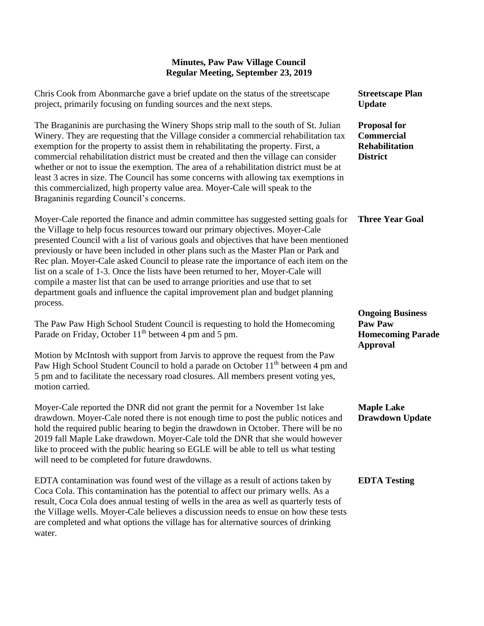| Chris Cook from Abonmarche gave a brief update on the status of the streetscape<br>project, primarily focusing on funding sources and the next steps.                                                                                                                                                                                                                                                                                                                                                                                                                                                                                                                                                     | <b>Streetscape Plan</b><br><b>Update</b>                                      |
|-----------------------------------------------------------------------------------------------------------------------------------------------------------------------------------------------------------------------------------------------------------------------------------------------------------------------------------------------------------------------------------------------------------------------------------------------------------------------------------------------------------------------------------------------------------------------------------------------------------------------------------------------------------------------------------------------------------|-------------------------------------------------------------------------------|
| The Braganinis are purchasing the Winery Shops strip mall to the south of St. Julian<br>Winery. They are requesting that the Village consider a commercial rehabilitation tax<br>exemption for the property to assist them in rehabilitating the property. First, a<br>commercial rehabilitation district must be created and then the village can consider<br>whether or not to issue the exemption. The area of a rehabilitation district must be at<br>least 3 acres in size. The Council has some concerns with allowing tax exemptions in<br>this commercialized, high property value area. Moyer-Cale will speak to the<br>Braganinis regarding Council's concerns.                                 | <b>Proposal for</b><br><b>Commercial</b><br>Rehabilitation<br><b>District</b> |
| Moyer-Cale reported the finance and admin committee has suggested setting goals for<br>the Village to help focus resources toward our primary objectives. Moyer-Cale<br>presented Council with a list of various goals and objectives that have been mentioned<br>previously or have been included in other plans such as the Master Plan or Park and<br>Rec plan. Moyer-Cale asked Council to please rate the importance of each item on the<br>list on a scale of 1-3. Once the lists have been returned to her, Moyer-Cale will<br>compile a master list that can be used to arrange priorities and use that to set<br>department goals and influence the capital improvement plan and budget planning | <b>Three Year Goal</b>                                                        |
| process.                                                                                                                                                                                                                                                                                                                                                                                                                                                                                                                                                                                                                                                                                                  | <b>Ongoing Business</b>                                                       |
| The Paw Paw High School Student Council is requesting to hold the Homecoming<br>Parade on Friday, October 11 <sup>th</sup> between 4 pm and 5 pm.                                                                                                                                                                                                                                                                                                                                                                                                                                                                                                                                                         | <b>Paw Paw</b><br><b>Homecoming Parade</b><br><b>Approval</b>                 |
| Motion by McIntosh with support from Jarvis to approve the request from the Paw<br>Paw High School Student Council to hold a parade on October 11 <sup>th</sup> between 4 pm and<br>5 pm and to facilitate the necessary road closures. All members present voting yes,<br>motion carried.                                                                                                                                                                                                                                                                                                                                                                                                                |                                                                               |
| Moyer-Cale reported the DNR did not grant the permit for a November 1st lake<br>drawdown. Moyer-Cale noted there is not enough time to post the public notices and<br>hold the required public hearing to begin the drawdown in October. There will be no<br>2019 fall Maple Lake drawdown. Moyer-Cale told the DNR that she would however<br>like to proceed with the public hearing so EGLE will be able to tell us what testing<br>will need to be completed for future drawdowns.                                                                                                                                                                                                                     | <b>Maple Lake</b><br><b>Drawdown Update</b>                                   |
| EDTA contamination was found west of the village as a result of actions taken by<br>Coca Cola. This contamination has the potential to affect our primary wells. As a<br>result, Coca Cola does annual testing of wells in the area as well as quarterly tests of<br>the Village wells. Moyer-Cale believes a discussion needs to ensue on how these tests<br>are completed and what options the village has for alternative sources of drinking<br>water.                                                                                                                                                                                                                                                | <b>EDTA Testing</b>                                                           |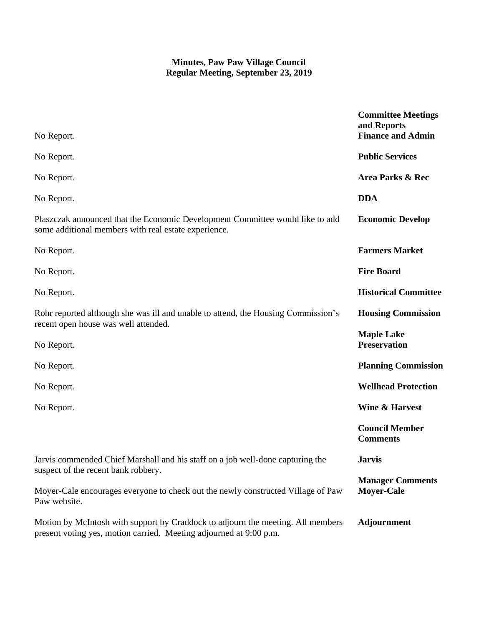| No Report.                                                                                                                                            | <b>Committee Meetings</b><br>and Reports<br><b>Finance and Admin</b> |
|-------------------------------------------------------------------------------------------------------------------------------------------------------|----------------------------------------------------------------------|
| No Report.                                                                                                                                            | <b>Public Services</b>                                               |
| No Report.                                                                                                                                            | Area Parks & Rec                                                     |
| No Report.                                                                                                                                            | <b>DDA</b>                                                           |
| Plaszczak announced that the Economic Development Committee would like to add<br>some additional members with real estate experience.                 | <b>Economic Develop</b>                                              |
| No Report.                                                                                                                                            | <b>Farmers Market</b>                                                |
| No Report.                                                                                                                                            | <b>Fire Board</b>                                                    |
| No Report.                                                                                                                                            | <b>Historical Committee</b>                                          |
| Rohr reported although she was ill and unable to attend, the Housing Commission's                                                                     | <b>Housing Commission</b>                                            |
| recent open house was well attended.<br>No Report.                                                                                                    | <b>Maple Lake</b><br><b>Preservation</b>                             |
| No Report.                                                                                                                                            | <b>Planning Commission</b>                                           |
| No Report.                                                                                                                                            | <b>Wellhead Protection</b>                                           |
| No Report.                                                                                                                                            | <b>Wine &amp; Harvest</b>                                            |
|                                                                                                                                                       | <b>Council Member</b><br><b>Comments</b>                             |
| Jarvis commended Chief Marshall and his staff on a job well-done capturing the<br>suspect of the recent bank robbery.                                 | <b>Jarvis</b>                                                        |
| Moyer-Cale encourages everyone to check out the newly constructed Village of Paw<br>Paw website.                                                      | <b>Manager Comments</b><br><b>Moyer-Cale</b>                         |
| Motion by McIntosh with support by Craddock to adjourn the meeting. All members<br>present voting yes, motion carried. Meeting adjourned at 9:00 p.m. | <b>Adjournment</b>                                                   |